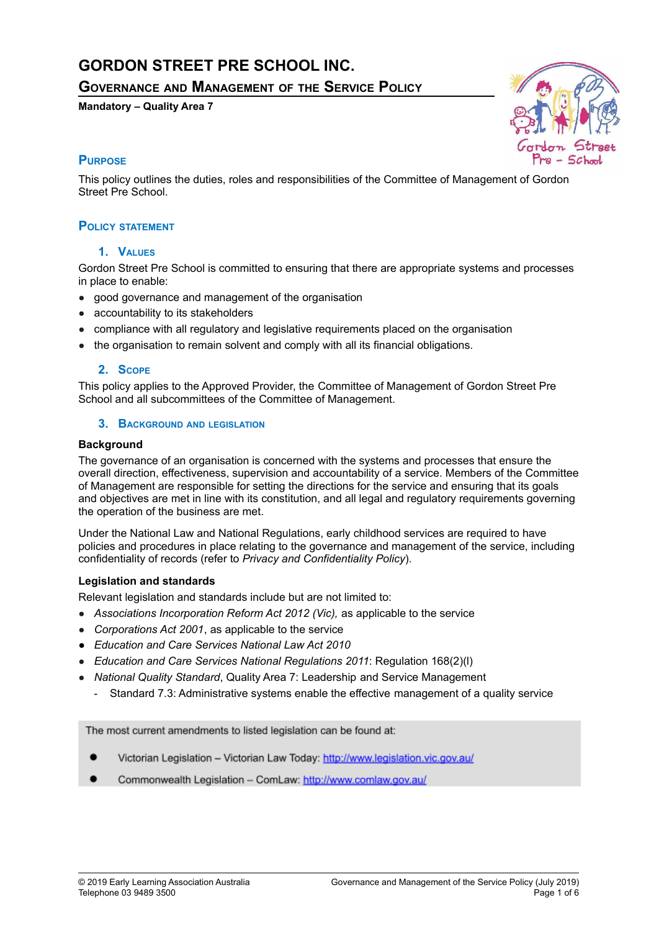# **GORDON STREET PRE SCHOOL INC.**

**GOVERNANCE AND MANAGEMENT OF THE SERVICE POLICY**

# **Mandatory – Quality Area 7**



# **PURPOSE**

This policy outlines the duties, roles and responsibilities of the Committee of Management of Gordon Street Pre School.

# **POLICY STATEMENT**

# **1. VALUES**

Gordon Street Pre School is committed to ensuring that there are appropriate systems and processes in place to enable:

- good governance and management of the organisation
- accountability to its stakeholders
- compliance with all regulatory and legislative requirements placed on the organisation
- the organisation to remain solvent and comply with all its financial obligations.

### **2. SCOPE**

This policy applies to the Approved Provider, the Committee of Management of Gordon Street Pre School and all subcommittees of the Committee of Management.

### **3. BACKGROUND AND LEGISLATION**

### **Background**

The governance of an organisation is concerned with the systems and processes that ensure the overall direction, effectiveness, supervision and accountability of a service. Members of the Committee of Management are responsible for setting the directions for the service and ensuring that its goals and objectives are met in line with its constitution, and all legal and regulatory requirements governing the operation of the business are met.

Under the National Law and National Regulations, early childhood services are required to have policies and procedures in place relating to the governance and management of the service, including confidentiality of records (refer to *Privacy and Confidentiality Policy*).

# **Legislation and standards**

Relevant legislation and standards include but are not limited to:

- *Associations Incorporation Reform Act 2012 (Vic),* as applicable to the service
- *Corporations Act 2001*, as applicable to the service
- *● Education and Care Services National Law Act 2010*
- *Education and Care Services National Regulations 2011*: Regulation 168(2)(l)
- *National Quality Standard*, Quality Area 7: Leadership and Service Management
	- Standard 7.3: Administrative systems enable the effective management of a quality service

The most current amendments to listed legislation can be found at:

- Victorian Legislation Victorian Law Today: http://www.legislation.vic.gov.au/
- Commonwealth Legislation ComLaw: http://www.comlaw.gov.au/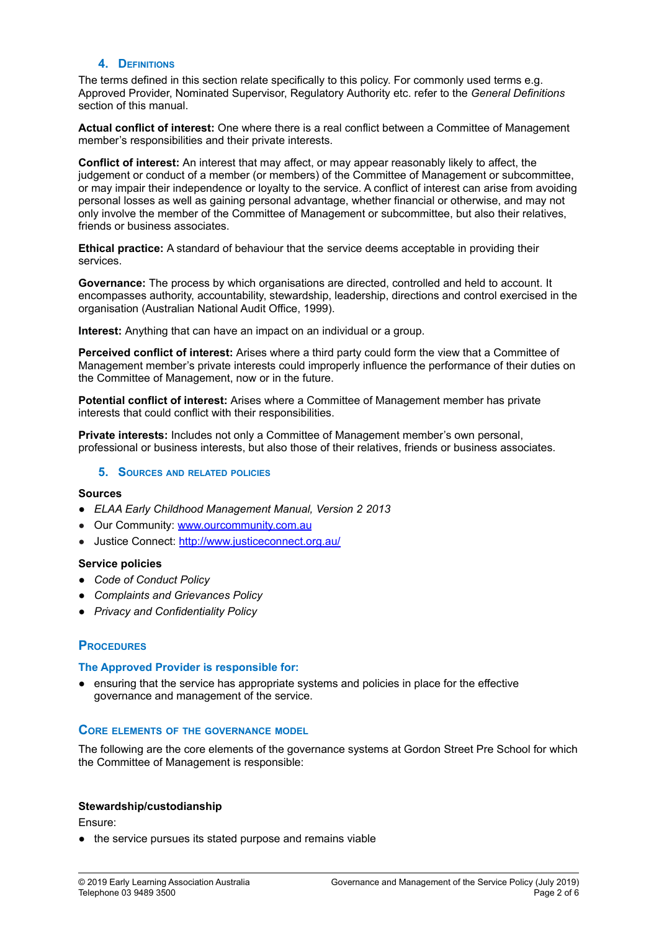#### **4. DEFINITIONS**

The terms defined in this section relate specifically to this policy. For commonly used terms e.g. Approved Provider, Nominated Supervisor, Regulatory Authority etc. refer to the *General Definitions* section of this manual.

**Actual conflict of interest:** One where there is a real conflict between a Committee of Management member's responsibilities and their private interests.

**Conflict of interest:** An interest that may affect, or may appear reasonably likely to affect, the judgement or conduct of a member (or members) of the Committee of Management or subcommittee, or may impair their independence or loyalty to the service. A conflict of interest can arise from avoiding personal losses as well as gaining personal advantage, whether financial or otherwise, and may not only involve the member of the Committee of Management or subcommittee, but also their relatives, friends or business associates.

**Ethical practice:** A standard of behaviour that the service deems acceptable in providing their services.

**Governance:** The process by which organisations are directed, controlled and held to account. It encompasses authority, accountability, stewardship, leadership, directions and control exercised in the organisation (Australian National Audit Office, 1999).

**Interest:** Anything that can have an impact on an individual or a group.

**Perceived conflict of interest:** Arises where a third party could form the view that a Committee of Management member's private interests could improperly influence the performance of their duties on the Committee of Management, now or in the future.

**Potential conflict of interest:** Arises where a Committee of Management member has private interests that could conflict with their responsibilities.

**Private interests:** Includes not only a Committee of Management member's own personal, professional or business interests, but also those of their relatives, friends or business associates.

#### **5. SOURCES AND RELATED POLICIES**

#### **Sources**

- *● ELAA Early Childhood Management Manual, Version 2 2013*
- Our Community: [www.ourcommunity.com.au](http://www.ourcommunity.com.au)
- Justice Connect: <http://www.justiceconnect.org.au/>

#### **Service policies**

- *● Code of Conduct Policy*
- *● Complaints and Grievances Policy*
- *● Privacy and Confidentiality Policy*

#### **PROCEDURES**

#### **The Approved Provider is responsible for:**

● ensuring that the service has appropriate systems and policies in place for the effective governance and management of the service.

## **CORE ELEMENTS OF THE GOVERNANCE MODEL**

The following are the core elements of the governance systems at Gordon Street Pre School for which the Committee of Management is responsible:

#### **Stewardship/custodianship**

Ensure:

● the service pursues its stated purpose and remains viable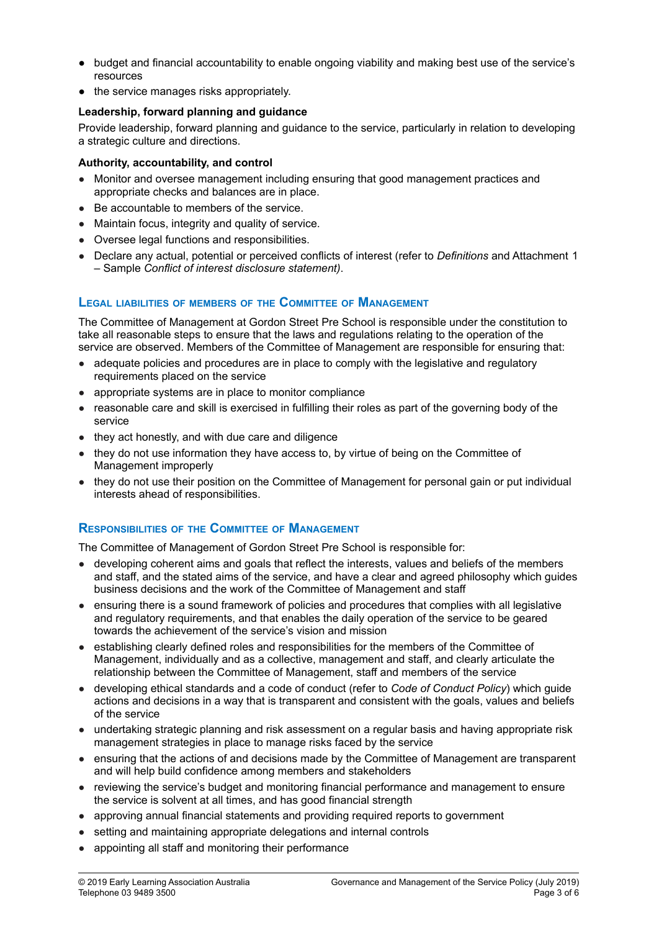- budget and financial accountability to enable ongoing viability and making best use of the service's resources
- the service manages risks appropriately.

# **Leadership, forward planning and guidance**

Provide leadership, forward planning and guidance to the service, particularly in relation to developing a strategic culture and directions.

# **Authority, accountability, and control**

- Monitor and oversee management including ensuring that good management practices and appropriate checks and balances are in place.
- Be accountable to members of the service.
- Maintain focus, integrity and quality of service.
- Oversee legal functions and responsibilities.
- Declare any actual, potential or perceived conflicts of interest (refer to *Definitions* and Attachment 1 – Sample *Conflict of interest disclosure statement)*.

# **LEGAL LIABILITIES OF MEMBERS OF THE COMMITTEE OF MANAGEMENT**

The Committee of Management at Gordon Street Pre School is responsible under the constitution to take all reasonable steps to ensure that the laws and regulations relating to the operation of the service are observed. Members of the Committee of Management are responsible for ensuring that:

- adequate policies and procedures are in place to comply with the legislative and regulatory requirements placed on the service
- appropriate systems are in place to monitor compliance
- reasonable care and skill is exercised in fulfilling their roles as part of the governing body of the service
- they act honestly, and with due care and diligence
- they do not use information they have access to, by virtue of being on the Committee of Management improperly
- they do not use their position on the Committee of Management for personal gain or put individual interests ahead of responsibilities.

# **RESPONSIBILITIES OF THE COMMITTEE OF MANAGEMENT**

The Committee of Management of Gordon Street Pre School is responsible for:

- developing coherent aims and goals that reflect the interests, values and beliefs of the members and staff, and the stated aims of the service, and have a clear and agreed philosophy which guides business decisions and the work of the Committee of Management and staff
- ensuring there is a sound framework of policies and procedures that complies with all legislative and regulatory requirements, and that enables the daily operation of the service to be geared towards the achievement of the service's vision and mission
- establishing clearly defined roles and responsibilities for the members of the Committee of Management, individually and as a collective, management and staff, and clearly articulate the relationship between the Committee of Management, staff and members of the service
- developing ethical standards and a code of conduct (refer to *Code of Conduct Policy*) which guide actions and decisions in a way that is transparent and consistent with the goals, values and beliefs of the service
- undertaking strategic planning and risk assessment on a regular basis and having appropriate risk management strategies in place to manage risks faced by the service
- ensuring that the actions of and decisions made by the Committee of Management are transparent and will help build confidence among members and stakeholders
- reviewing the service's budget and monitoring financial performance and management to ensure the service is solvent at all times, and has good financial strength
- approving annual financial statements and providing required reports to government
- setting and maintaining appropriate delegations and internal controls
- appointing all staff and monitoring their performance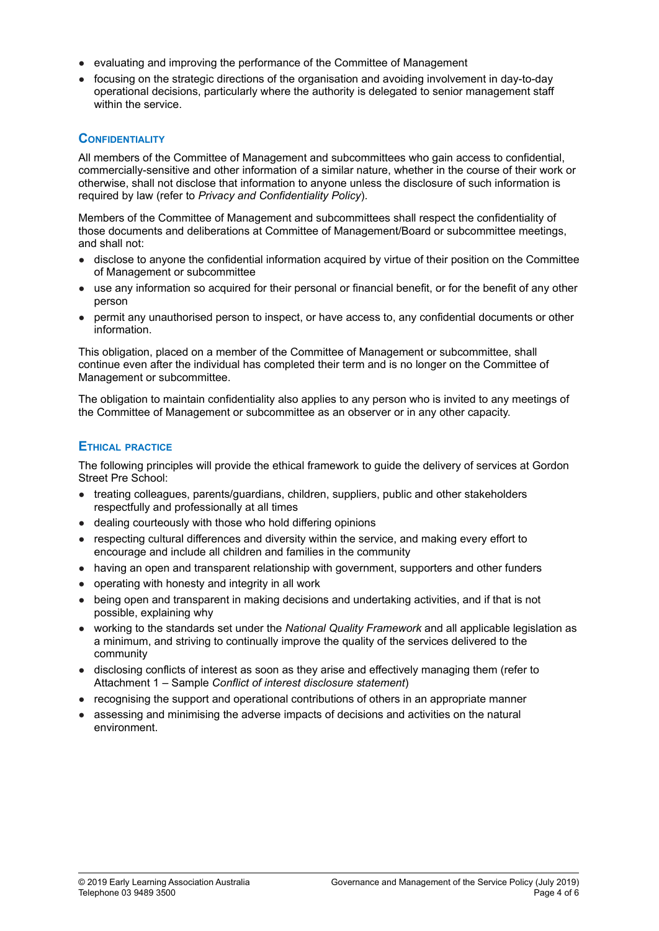- evaluating and improving the performance of the Committee of Management
- focusing on the strategic directions of the organisation and avoiding involvement in day-to-day operational decisions, particularly where the authority is delegated to senior management staff within the service.

# **CONFIDENTIALITY**

All members of the Committee of Management and subcommittees who gain access to confidential, commercially-sensitive and other information of a similar nature, whether in the course of their work or otherwise, shall not disclose that information to anyone unless the disclosure of such information is required by law (refer to *Privacy and Confidentiality Policy*).

Members of the Committee of Management and subcommittees shall respect the confidentiality of those documents and deliberations at Committee of Management/Board or subcommittee meetings, and shall not:

- disclose to anyone the confidential information acquired by virtue of their position on the Committee of Management or subcommittee
- use any information so acquired for their personal or financial benefit, or for the benefit of any other person
- permit any unauthorised person to inspect, or have access to, any confidential documents or other information.

This obligation, placed on a member of the Committee of Management or subcommittee, shall continue even after the individual has completed their term and is no longer on the Committee of Management or subcommittee.

The obligation to maintain confidentiality also applies to any person who is invited to any meetings of the Committee of Management or subcommittee as an observer or in any other capacity.

# **ETHICAL PRACTICE**

The following principles will provide the ethical framework to guide the delivery of services at Gordon Street Pre School:

- treating colleagues, parents/guardians, children, suppliers, public and other stakeholders respectfully and professionally at all times
- dealing courteously with those who hold differing opinions
- respecting cultural differences and diversity within the service, and making every effort to encourage and include all children and families in the community
- having an open and transparent relationship with government, supporters and other funders
- operating with honesty and integrity in all work
- being open and transparent in making decisions and undertaking activities, and if that is not possible, explaining why
- working to the standards set under the *National Quality Framework* and all applicable legislation as a minimum, and striving to continually improve the quality of the services delivered to the community
- disclosing conflicts of interest as soon as they arise and effectively managing them (refer to Attachment 1 – Sample *Conflict of interest disclosure statement*)
- recognising the support and operational contributions of others in an appropriate manner
- assessing and minimising the adverse impacts of decisions and activities on the natural environment.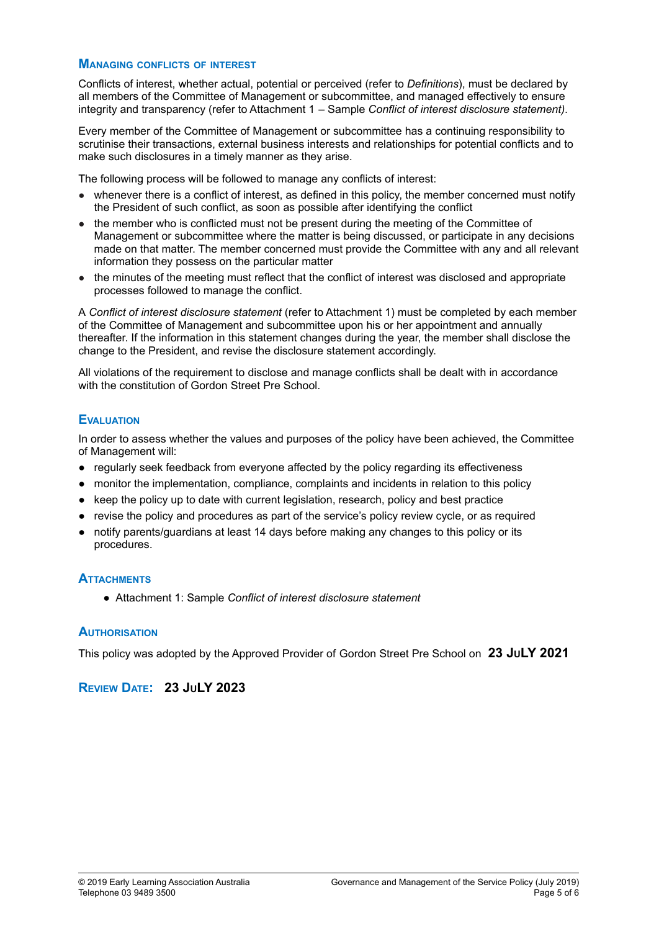#### **MANAGING CONFLICTS OF INTEREST**

Conflicts of interest, whether actual, potential or perceived (refer to *Definitions*), must be declared by all members of the Committee of Management or subcommittee, and managed effectively to ensure integrity and transparency (refer to Attachment 1 – Sample *Conflict of interest disclosure statement)*.

Every member of the Committee of Management or subcommittee has a continuing responsibility to scrutinise their transactions, external business interests and relationships for potential conflicts and to make such disclosures in a timely manner as they arise.

The following process will be followed to manage any conflicts of interest:

- whenever there is a conflict of interest, as defined in this policy, the member concerned must notify the President of such conflict, as soon as possible after identifying the conflict
- the member who is conflicted must not be present during the meeting of the Committee of Management or subcommittee where the matter is being discussed, or participate in any decisions made on that matter. The member concerned must provide the Committee with any and all relevant information they possess on the particular matter
- the minutes of the meeting must reflect that the conflict of interest was disclosed and appropriate processes followed to manage the conflict.

A *Conflict of interest disclosure statement* (refer to Attachment 1) must be completed by each member of the Committee of Management and subcommittee upon his or her appointment and annually thereafter. If the information in this statement changes during the year, the member shall disclose the change to the President, and revise the disclosure statement accordingly.

All violations of the requirement to disclose and manage conflicts shall be dealt with in accordance with the constitution of Gordon Street Pre School.

# **EVALUATION**

In order to assess whether the values and purposes of the policy have been achieved, the Committee of Management will:

- regularly seek feedback from everyone affected by the policy regarding its effectiveness
- monitor the implementation, compliance, complaints and incidents in relation to this policy
- keep the policy up to date with current legislation, research, policy and best practice
- revise the policy and procedures as part of the service's policy review cycle, or as required
- notify parents/guardians at least 14 days before making any changes to this policy or its procedures.

#### **ATTACHMENTS**

● Attachment 1: Sample *Conflict of interest disclosure statement*

#### **AUTHORISATION**

This policy was adopted by the Approved Provider of Gordon Street Pre School on **23 JULY 2021**

# **REVIEW DATE: 23 JULY 2023**